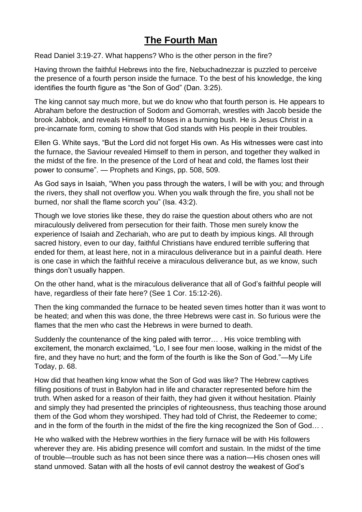# **The Fourth Man**

Read Daniel 3:19-27. What happens? Who is the other person in the fire?

Having thrown the faithful Hebrews into the fire, Nebuchadnezzar is puzzled to perceive the presence of a fourth person inside the furnace. To the best of his knowledge, the king identifies the fourth figure as "the Son of God" (Dan. 3:25).

The king cannot say much more, but we do know who that fourth person is. He appears to Abraham before the destruction of Sodom and Gomorrah, wrestles with Jacob beside the brook Jabbok, and reveals Himself to Moses in a burning bush. He is Jesus Christ in a pre-incarnate form, coming to show that God stands with His people in their troubles.

Ellen G. White says, "But the Lord did not forget His own. As His witnesses were cast into the furnace, the Saviour revealed Himself to them in person, and together they walked in the midst of the fire. In the presence of the Lord of heat and cold, the flames lost their power to consume". — Prophets and Kings, pp. 508, 509.

As God says in Isaiah, "When you pass through the waters, I will be with you; and through the rivers, they shall not overflow you. When you walk through the fire, you shall not be burned, nor shall the flame scorch you" (Isa. 43:2).

Though we love stories like these, they do raise the question about others who are not miraculously delivered from persecution for their faith. Those men surely know the experience of Isaiah and Zechariah, who are put to death by impious kings. All through sacred history, even to our day, faithful Christians have endured terrible suffering that ended for them, at least here, not in a miraculous deliverance but in a painful death. Here is one case in which the faithful receive a miraculous deliverance but, as we know, such things don't usually happen.

On the other hand, what is the miraculous deliverance that all of God's faithful people will have, regardless of their fate here? (See 1 Cor. 15:12-26).

Then the king commanded the furnace to be heated seven times hotter than it was wont to be heated; and when this was done, the three Hebrews were cast in. So furious were the flames that the men who cast the Hebrews in were burned to death.

Suddenly the countenance of the king paled with terror… . His voice trembling with excitement, the monarch exclaimed, "Lo, I see four men loose, walking in the midst of the fire, and they have no hurt; and the form of the fourth is like the Son of God."—My Life Today, p. 68.

How did that heathen king know what the Son of God was like? The Hebrew captives filling positions of trust in Babylon had in life and character represented before him the truth. When asked for a reason of their faith, they had given it without hesitation. Plainly and simply they had presented the principles of righteousness, thus teaching those around them of the God whom they worshiped. They had told of Christ, the Redeemer to come; and in the form of the fourth in the midst of the fire the king recognized the Son of God… .

He who walked with the Hebrew worthies in the fiery furnace will be with His followers wherever they are. His abiding presence will comfort and sustain. In the midst of the time of trouble—trouble such as has not been since there was a nation—His chosen ones will stand unmoved. Satan with all the hosts of evil cannot destroy the weakest of God's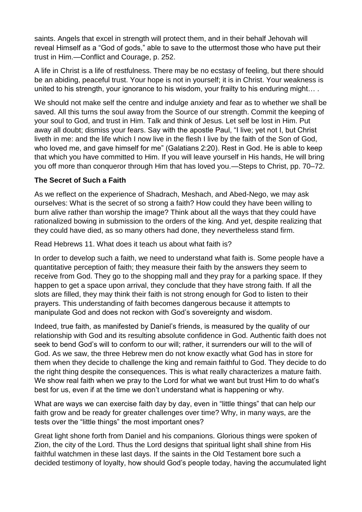saints. Angels that excel in strength will protect them, and in their behalf Jehovah will reveal Himself as a "God of gods," able to save to the uttermost those who have put their trust in Him.—Conflict and Courage, p. 252.

A life in Christ is a life of restfulness. There may be no ecstasy of feeling, but there should be an abiding, peaceful trust. Your hope is not in yourself; it is in Christ. Your weakness is united to his strength, your ignorance to his wisdom, your frailty to his enduring might… .

We should not make self the centre and indulge anxiety and fear as to whether we shall be saved. All this turns the soul away from the Source of our strength. Commit the keeping of your soul to God, and trust in Him. Talk and think of Jesus. Let self be lost in Him. Put away all doubt; dismiss your fears. Say with the apostle Paul, "I live; yet not I, but Christ liveth in me: and the life which I now live in the flesh I live by the faith of the Son of God, who loved me, and gave himself for me" (Galatians 2:20). Rest in God. He is able to keep that which you have committed to Him. If you will leave yourself in His hands, He will bring you off more than conqueror through Him that has loved you.—Steps to Christ, pp. 70–72.

## **The Secret of Such a Faith**

As we reflect on the experience of Shadrach, Meshach, and Abed-Nego, we may ask ourselves: What is the secret of so strong a faith? How could they have been willing to burn alive rather than worship the image? Think about all the ways that they could have rationalized bowing in submission to the orders of the king. And yet, despite realizing that they could have died, as so many others had done, they nevertheless stand firm.

Read Hebrews 11. What does it teach us about what faith is?

In order to develop such a faith, we need to understand what faith is. Some people have a quantitative perception of faith; they measure their faith by the answers they seem to receive from God. They go to the shopping mall and they pray for a parking space. If they happen to get a space upon arrival, they conclude that they have strong faith. If all the slots are filled, they may think their faith is not strong enough for God to listen to their prayers. This understanding of faith becomes dangerous because it attempts to manipulate God and does not reckon with God's sovereignty and wisdom.

Indeed, true faith, as manifested by Daniel's friends, is measured by the quality of our relationship with God and its resulting absolute confidence in God. Authentic faith does not seek to bend God's will to conform to our will; rather, it surrenders our will to the will of God. As we saw, the three Hebrew men do not know exactly what God has in store for them when they decide to challenge the king and remain faithful to God. They decide to do the right thing despite the consequences. This is what really characterizes a mature faith. We show real faith when we pray to the Lord for what we want but trust Him to do what's best for us, even if at the time we don't understand what is happening or why.

What are ways we can exercise faith day by day, even in "little things" that can help our faith grow and be ready for greater challenges over time? Why, in many ways, are the tests over the "little things" the most important ones?

Great light shone forth from Daniel and his companions. Glorious things were spoken of Zion, the city of the Lord. Thus the Lord designs that spiritual light shall shine from His faithful watchmen in these last days. If the saints in the Old Testament bore such a decided testimony of loyalty, how should God's people today, having the accumulated light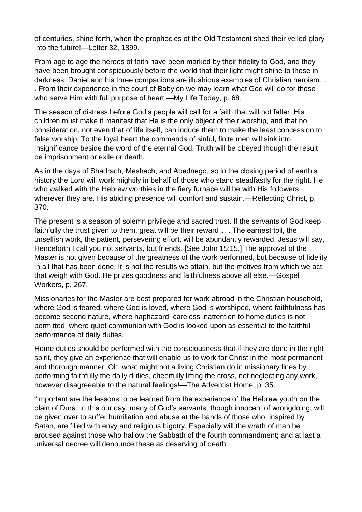of centuries, shine forth, when the prophecies of the Old Testament shed their veiled glory into the future!—Letter 32, 1899.

From age to age the heroes of faith have been marked by their fidelity to God, and they have been brought conspicuously before the world that their light might shine to those in darkness. Daniel and his three companions are illustrious examples of Christian heroism… . From their experience in the court of Babylon we may learn what God will do for those who serve Him with full purpose of heart.—My Life Today, p. 68.

The season of distress before God's people will call for a faith that will not falter. His children must make it manifest that He is the only object of their worship, and that no consideration, not even that of life itself, can induce them to make the least concession to false worship. To the loyal heart the commands of sinful, finite men will sink into insignificance beside the word of the eternal God. Truth will be obeyed though the result be imprisonment or exile or death.

As in the days of Shadrach, Meshach, and Abednego, so in the closing period of earth's history the Lord will work mightily in behalf of those who stand steadfastly for the right. He who walked with the Hebrew worthies in the fiery furnace will be with His followers wherever they are. His abiding presence will comfort and sustain.—Reflecting Christ, p. 370.

The present is a season of solemn privilege and sacred trust. If the servants of God keep faithfully the trust given to them, great will be their reward… . The earnest toil, the unselfish work, the patient, persevering effort, will be abundantly rewarded. Jesus will say, Henceforth I call you not servants, but friends. [See John 15:15.] The approval of the Master is not given because of the greatness of the work performed, but because of fidelity in all that has been done. It is not the results we attain, but the motives from which we act, that weigh with God. He prizes goodness and faithfulness above all else.—Gospel Workers, p. 267.

Missionaries for the Master are best prepared for work abroad in the Christian household, where God is feared, where God is loved, where God is worshiped, where faithfulness has become second nature, where haphazard, careless inattention to home duties is not permitted, where quiet communion with God is looked upon as essential to the faithful performance of daily duties.

Home duties should be performed with the consciousness that if they are done in the right spirit, they give an experience that will enable us to work for Christ in the most permanent and thorough manner. Oh, what might not a living Christian do in missionary lines by performing faithfully the daily duties, cheerfully lifting the cross, not neglecting any work, however disagreeable to the natural feelings!—The Adventist Home, p. 35.

"Important are the lessons to be learned from the experience of the Hebrew youth on the plain of Dura. In this our day, many of God's servants, though innocent of wrongdoing, will be given over to suffer humiliation and abuse at the hands of those who, inspired by Satan, are filled with envy and religious bigotry. Especially will the wrath of man be aroused against those who hallow the Sabbath of the fourth commandment; and at last a universal decree will denounce these as deserving of death.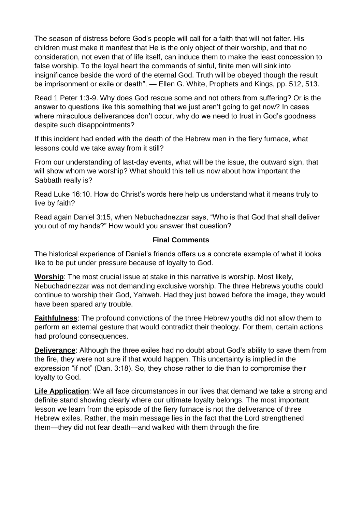The season of distress before God's people will call for a faith that will not falter. His children must make it manifest that He is the only object of their worship, and that no consideration, not even that of life itself, can induce them to make the least concession to false worship. To the loyal heart the commands of sinful, finite men will sink into insignificance beside the word of the eternal God. Truth will be obeyed though the result be imprisonment or exile or death". — Ellen G. White, Prophets and Kings, pp. 512, 513.

Read 1 Peter 1:3-9. Why does God rescue some and not others from suffering? Or is the answer to questions like this something that we just aren't going to get now? In cases where miraculous deliverances don't occur, why do we need to trust in God's goodness despite such disappointments?

If this incident had ended with the death of the Hebrew men in the fiery furnace, what lessons could we take away from it still?

From our understanding of last-day events, what will be the issue, the outward sign, that will show whom we worship? What should this tell us now about how important the Sabbath really is?

Read Luke 16:10. How do Christ's words here help us understand what it means truly to live by faith?

Read again Daniel 3:15, when Nebuchadnezzar says, "Who is that God that shall deliver you out of my hands?" How would you answer that question?

## **Final Comments**

The historical experience of Daniel's friends offers us a concrete example of what it looks like to be put under pressure because of loyalty to God.

**Worship**: The most crucial issue at stake in this narrative is worship. Most likely, Nebuchadnezzar was not demanding exclusive worship. The three Hebrews youths could continue to worship their God, Yahweh. Had they just bowed before the image, they would have been spared any trouble.

**Faithfulness**: The profound convictions of the three Hebrew youths did not allow them to perform an external gesture that would contradict their theology. For them, certain actions had profound consequences.

**Deliverance**: Although the three exiles had no doubt about God's ability to save them from the fire, they were not sure if that would happen. This uncertainty is implied in the expression "if not" (Dan. 3:18). So, they chose rather to die than to compromise their loyalty to God.

**Life Application**: We all face circumstances in our lives that demand we take a strong and definite stand showing clearly where our ultimate loyalty belongs. The most important lesson we learn from the episode of the fiery furnace is not the deliverance of three Hebrew exiles. Rather, the main message lies in the fact that the Lord strengthened them—they did not fear death—and walked with them through the fire.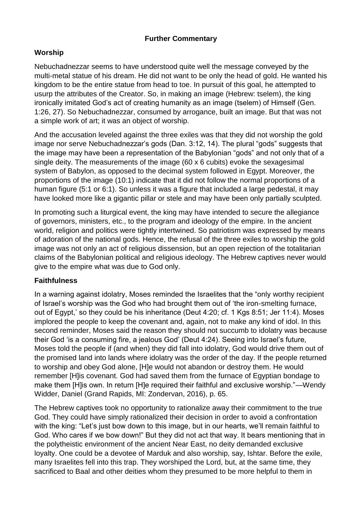## **Further Commentary**

## **Worship**

Nebuchadnezzar seems to have understood quite well the message conveyed by the multi-metal statue of his dream. He did not want to be only the head of gold. He wanted his kingdom to be the entire statue from head to toe. In pursuit of this goal, he attempted to usurp the attributes of the Creator. So, in making an image (Hebrew: tselem), the king ironically imitated God's act of creating humanity as an image (tselem) of Himself (Gen. 1:26, 27). So Nebuchadnezzar, consumed by arrogance, built an image. But that was not a simple work of art; it was an object of worship.

And the accusation leveled against the three exiles was that they did not worship the gold image nor serve Nebuchadnezzar's gods (Dan. 3:12, 14). The plural "gods" suggests that the image may have been a representation of the Babylonian "gods" and not only that of a single deity. The measurements of the image (60 x 6 cubits) evoke the sexagesimal system of Babylon, as opposed to the decimal system followed in Egypt. Moreover, the proportions of the image (10:1) indicate that it did not follow the normal proportions of a human figure (5:1 or 6:1). So unless it was a figure that included a large pedestal, it may have looked more like a gigantic pillar or stele and may have been only partially sculpted.

In promoting such a liturgical event, the king may have intended to secure the allegiance of governors, ministers, etc., to the program and ideology of the empire. In the ancient world, religion and politics were tightly intertwined. So patriotism was expressed by means of adoration of the national gods. Hence, the refusal of the three exiles to worship the gold image was not only an act of religious dissension, but an open rejection of the totalitarian claims of the Babylonian political and religious ideology. The Hebrew captives never would give to the empire what was due to God only.

## **Faithfulness**

In a warning against idolatry, Moses reminded the Israelites that the "only worthy recipient of Israel's worship was the God who had brought them out of 'the iron-smelting furnace, out of Egypt,' so they could be his inheritance (Deut 4:20; cf. 1 Kgs 8:51; Jer 11:4). Moses implored the people to keep the covenant and, again, not to make any kind of idol. In this second reminder, Moses said the reason they should not succumb to idolatry was because their God 'is a consuming fire, a jealous God' (Deut 4:24). Seeing into Israel's future, Moses told the people if (and when) they did fall into idolatry, God would drive them out of the promised land into lands where idolatry was the order of the day. If the people returned to worship and obey God alone, [H]e would not abandon or destroy them. He would remember [H]is covenant. God had saved them from the furnace of Egyptian bondage to make them [H]is own. In return [H]e required their faithful and exclusive worship."—Wendy Widder, Daniel (Grand Rapids, MI: Zondervan, 2016), p. 65.

The Hebrew captives took no opportunity to rationalize away their commitment to the true God. They could have simply rationalized their decision in order to avoid a confrontation with the king: "Let's just bow down to this image, but in our hearts, we'll remain faithful to God. Who cares if we bow down!" But they did not act that way. It bears mentioning that in the polytheistic environment of the ancient Near East, no deity demanded exclusive loyalty. One could be a devotee of Marduk and also worship, say, Ishtar. Before the exile, many Israelites fell into this trap. They worshiped the Lord, but, at the same time, they sacrificed to Baal and other deities whom they presumed to be more helpful to them in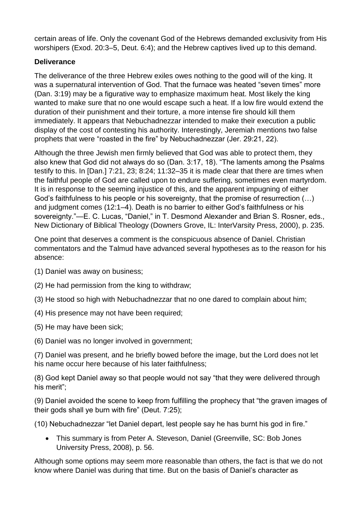certain areas of life. Only the covenant God of the Hebrews demanded exclusivity from His worshipers (Exod. 20:3–5, Deut. 6:4); and the Hebrew captives lived up to this demand.

## **Deliverance**

The deliverance of the three Hebrew exiles owes nothing to the good will of the king. It was a supernatural intervention of God. That the furnace was heated "seven times" more (Dan. 3:19) may be a figurative way to emphasize maximum heat. Most likely the king wanted to make sure that no one would escape such a heat. If a low fire would extend the duration of their punishment and their torture, a more intense fire should kill them immediately. It appears that Nebuchadnezzar intended to make their execution a public display of the cost of contesting his authority. Interestingly, Jeremiah mentions two false prophets that were "roasted in the fire" by Nebuchadnezzar (Jer. 29:21, 22).

Although the three Jewish men firmly believed that God was able to protect them, they also knew that God did not always do so (Dan. 3:17, 18). "The laments among the Psalms testify to this. In [Dan.] 7:21, 23; 8:24; 11:32–35 it is made clear that there are times when the faithful people of God are called upon to endure suffering, sometimes even martyrdom. It is in response to the seeming injustice of this, and the apparent impugning of either God's faithfulness to his people or his sovereignty, that the promise of resurrection (…) and judgment comes (12:1–4). Death is no barrier to either God's faithfulness or his sovereignty."—E. C. Lucas, "Daniel," in T. Desmond Alexander and Brian S. Rosner, eds., New Dictionary of Biblical Theology (Downers Grove, IL: InterVarsity Press, 2000), p. 235.

One point that deserves a comment is the conspicuous absence of Daniel. Christian commentators and the Talmud have advanced several hypotheses as to the reason for his absence:

- (1) Daniel was away on business;
- (2) He had permission from the king to withdraw;
- (3) He stood so high with Nebuchadnezzar that no one dared to complain about him;
- (4) His presence may not have been required;
- (5) He may have been sick;
- (6) Daniel was no longer involved in government;

(7) Daniel was present, and he briefly bowed before the image, but the Lord does not let his name occur here because of his later faithfulness;

(8) God kept Daniel away so that people would not say "that they were delivered through his merit";

(9) Daniel avoided the scene to keep from fulfilling the prophecy that "the graven images of their gods shall ye burn with fire" (Deut. 7:25);

(10) Nebuchadnezzar "let Daniel depart, lest people say he has burnt his god in fire."

 This summary is from Peter A. Steveson, Daniel (Greenville, SC: Bob Jones University Press, 2008), p. 56.

Although some options may seem more reasonable than others, the fact is that we do not know where Daniel was during that time. But on the basis of Daniel's character as